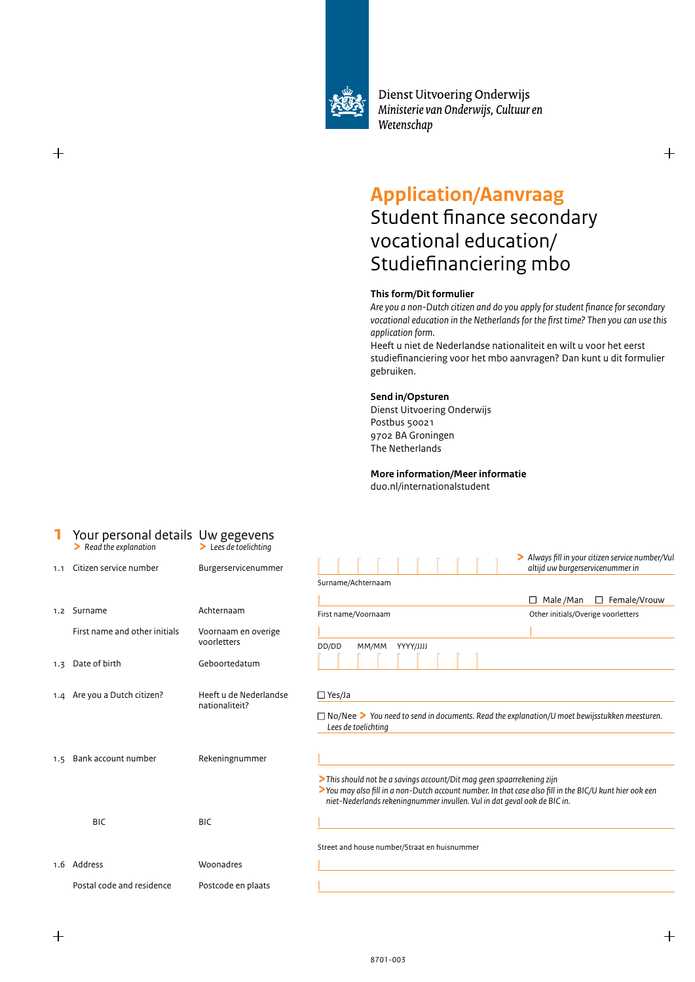

Dienst Uitvoering Onderwijs Ministerie van Onderwijs, Cultuur en Wetenschap

# **Application/Aanvraag**

# Student finance secondary vocational education/ Studiefinanciering mbo

## **This form/Dit formulier**

*Are you a non-Dutch citizen and do you apply for student finance for secondary vocational education in the Netherlands for the first time? Then you can use this application form.* 

Heeft u niet de Nederlandse nationaliteit en wilt u voor het eerst studiefinanciering voor het mbo aanvragen? Dan kunt u dit formulier gebruiken.

#### **Send in/Opsturen**

Dienst Uitvoering Onderwijs Postbus 50021 9702 BA Groningen The Netherlands

**More information/Meer informatie**

duo.nl/internationalstudent

|     | Your personal details Uw gegevens<br>$\blacktriangleright$ Read the explanation | $\blacktriangleright$ Lees de toelichting |                                                                                                                                                                                                                                                               |                                                                                      |
|-----|---------------------------------------------------------------------------------|-------------------------------------------|---------------------------------------------------------------------------------------------------------------------------------------------------------------------------------------------------------------------------------------------------------------|--------------------------------------------------------------------------------------|
| 1.1 | Citizen service number                                                          | Burgerservicenummer                       |                                                                                                                                                                                                                                                               | > Always fill in your citizen service number/Vul<br>altijd uw burgerservicenummer in |
|     |                                                                                 |                                           | Surname/Achternaam                                                                                                                                                                                                                                            |                                                                                      |
|     |                                                                                 |                                           |                                                                                                                                                                                                                                                               | $\Box$ Female/Vrouw<br>$\Box$ Male /Man                                              |
|     | 1.2 Surname                                                                     | Achternaam                                | First name/Voornaam                                                                                                                                                                                                                                           | Other initials/Overige voorletters                                                   |
|     | First name and other initials                                                   | Voornaam en overige<br>voorletters        | DD/DD<br>MM/MM YYYY/JJJJ                                                                                                                                                                                                                                      |                                                                                      |
| 1.3 | Date of birth                                                                   | Geboortedatum                             |                                                                                                                                                                                                                                                               |                                                                                      |
|     | 1.4 Are you a Dutch citizen?                                                    | Heeft u de Nederlandse<br>nationaliteit?  | $\Box$ Yes/Ja<br>$\Box$ No/Nee > You need to send in documents. Read the explanation/U moet bewijsstukken meesturen.<br>Lees de toelichting                                                                                                                   |                                                                                      |
| 1.5 | Bank account number                                                             | Rekeningnummer                            | > This should not be a savings account/Dit mag geen spaarrekening zijn<br>>You may also fill in a non-Dutch account number. In that case also fill in the BIC/U kunt hier ook een<br>niet-Nederlands rekeningnummer invullen. Vul in dat geval ook de BIC in. |                                                                                      |
|     | <b>BIC</b>                                                                      | <b>BIC</b>                                |                                                                                                                                                                                                                                                               |                                                                                      |
|     |                                                                                 |                                           | Street and house number/Straat en huisnummer                                                                                                                                                                                                                  |                                                                                      |
|     | 1.6 Address                                                                     | Woonadres                                 |                                                                                                                                                                                                                                                               |                                                                                      |
|     | Postal code and residence                                                       | Postcode en plaats                        |                                                                                                                                                                                                                                                               |                                                                                      |

 $\pm$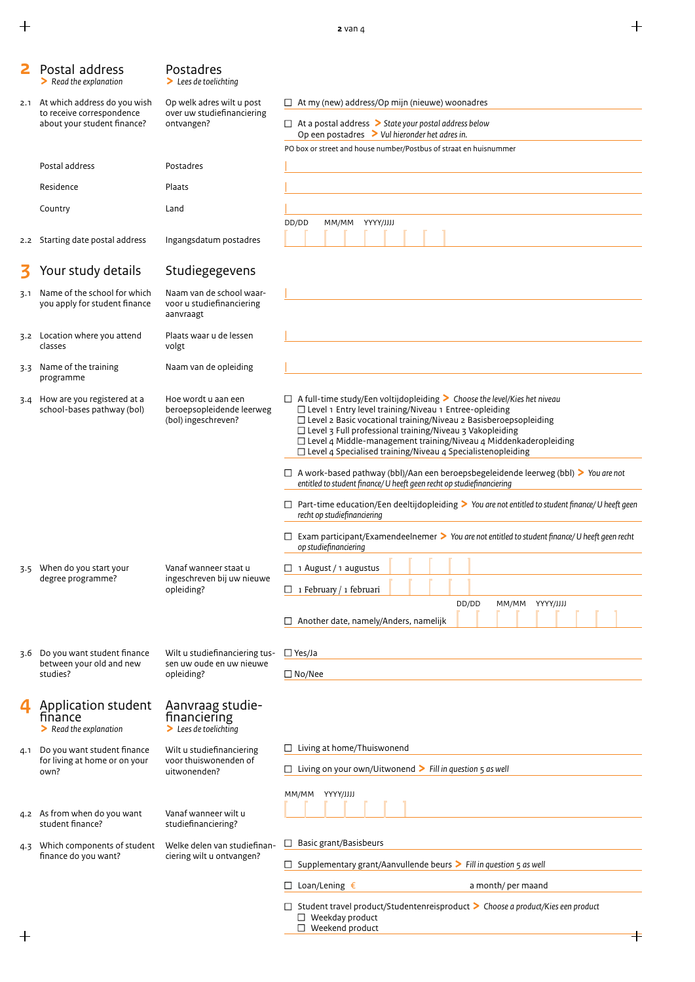$\ddot{+}$ 

|     | Postal address<br>$\triangleright$ Read the explanation                                      | Postadres<br>$\blacktriangleright$ Lees de toelichting                        |                                                                                                                                                                                                                                                                                                                                                                                                                                        |  |  |  |  |
|-----|----------------------------------------------------------------------------------------------|-------------------------------------------------------------------------------|----------------------------------------------------------------------------------------------------------------------------------------------------------------------------------------------------------------------------------------------------------------------------------------------------------------------------------------------------------------------------------------------------------------------------------------|--|--|--|--|
|     | 2.1 At which address do you wish<br>to receive correspondence<br>about your student finance? | Op welk adres wilt u post<br>over uw studiefinanciering<br>ontvangen?         | $\Box$ At my (new) address/Op mijn (nieuwe) woonadres<br>$\Box$ At a postal address $\triangleright$ State your postal address below<br>Op een postadres $\geq$ Vul hieronder het adres in.                                                                                                                                                                                                                                            |  |  |  |  |
|     | Postal address                                                                               | Postadres                                                                     | PO box or street and house number/Postbus of straat en huisnummer                                                                                                                                                                                                                                                                                                                                                                      |  |  |  |  |
|     | Residence                                                                                    | Plaats                                                                        |                                                                                                                                                                                                                                                                                                                                                                                                                                        |  |  |  |  |
|     | Country                                                                                      | Land                                                                          |                                                                                                                                                                                                                                                                                                                                                                                                                                        |  |  |  |  |
|     |                                                                                              |                                                                               | DD/DD<br>MM/MM YYYY/JJJJ                                                                                                                                                                                                                                                                                                                                                                                                               |  |  |  |  |
| 2.2 | Starting date postal address                                                                 | Ingangsdatum postadres                                                        |                                                                                                                                                                                                                                                                                                                                                                                                                                        |  |  |  |  |
|     | Your study details                                                                           | Studiegegevens                                                                |                                                                                                                                                                                                                                                                                                                                                                                                                                        |  |  |  |  |
| 3.1 | Name of the school for which<br>you apply for student finance                                | Naam van de school waar-<br>voor u studiefinanciering<br>aanvraagt            |                                                                                                                                                                                                                                                                                                                                                                                                                                        |  |  |  |  |
|     | 3.2 Location where you attend<br>classes                                                     | Plaats waar u de lessen<br>volgt                                              |                                                                                                                                                                                                                                                                                                                                                                                                                                        |  |  |  |  |
|     | 3.3 Name of the training<br>programme                                                        | Naam van de opleiding                                                         |                                                                                                                                                                                                                                                                                                                                                                                                                                        |  |  |  |  |
|     | 3.4 How are you registered at a<br>school-bases pathway (bol)                                | Hoe wordt u aan een<br>beroepsopleidende leerweg<br>(bol) ingeschreven?       | $\Box$ A full-time study/Een voltijdopleiding > Choose the level/Kies het niveau<br>$\Box$ Level 1 Entry level training/Niveau 1 Entree-opleiding<br>□ Level 2 Basic vocational training/Niveau 2 Basisberoepsopleiding<br>$\Box$ Level 3 Full professional training/Niveau 3 Vakopleiding<br>□ Level 4 Middle-management training/Niveau 4 Middenkaderopleiding<br>$\Box$ Level 4 Specialised training/Niveau 4 Specialistenopleiding |  |  |  |  |
|     |                                                                                              |                                                                               | $\Box$ A work-based pathway (bbl)/Aan een beroepsbegeleidende leerweg (bbl) > You are not<br>entitled to student finance/ U heeft geen recht op studiefinanciering                                                                                                                                                                                                                                                                     |  |  |  |  |
|     |                                                                                              |                                                                               | $\Box$ Part-time education/Een deeltijdopleiding > You are not entitled to student finance/ U heeft geen<br>recht op studiefinanciering                                                                                                                                                                                                                                                                                                |  |  |  |  |
|     |                                                                                              |                                                                               | $\Box$ Exam participant/Examendeelnemer > You are not entitled to student finance/U heeft geen recht<br>op studiefinanciering                                                                                                                                                                                                                                                                                                          |  |  |  |  |
| 3.5 | When do you start your                                                                       | Vanaf wanneer staat u                                                         | $\Box$ 1 August / 1 augustus                                                                                                                                                                                                                                                                                                                                                                                                           |  |  |  |  |
|     | degree programme?                                                                            | ingeschreven bij uw nieuwe<br>opleiding?                                      | $\Box$ 1 February / 1 februari                                                                                                                                                                                                                                                                                                                                                                                                         |  |  |  |  |
|     |                                                                                              |                                                                               | DD/DD<br>MM/MM YYYY/JJJJ<br>$\Box$ Another date, namely/Anders, namelijk                                                                                                                                                                                                                                                                                                                                                               |  |  |  |  |
|     | 3.6 Do you want student finance                                                              | Wilt u studiefinanciering tus-                                                | $\Box$ Yes/Ja                                                                                                                                                                                                                                                                                                                                                                                                                          |  |  |  |  |
|     | between your old and new<br>studies?                                                         | sen uw oude en uw nieuwe<br>opleiding?                                        | $\square$ No/Nee                                                                                                                                                                                                                                                                                                                                                                                                                       |  |  |  |  |
|     |                                                                                              |                                                                               |                                                                                                                                                                                                                                                                                                                                                                                                                                        |  |  |  |  |
|     | Application student<br>finance<br>$\triangleright$ Read the explanation                      | Aanvraag studie-<br>financiering<br>$\blacktriangleright$ Lees de toelichting |                                                                                                                                                                                                                                                                                                                                                                                                                                        |  |  |  |  |
|     | 4.1 Do you want student finance                                                              | Wilt u studiefinanciering                                                     | $\Box$ Living at home/Thuiswonend                                                                                                                                                                                                                                                                                                                                                                                                      |  |  |  |  |
|     | for living at home or on your<br>own?                                                        | voor thuiswonenden of<br>uitwonenden?                                         | $\Box$ Living on your own/Uitwonend > Fill in question 5 as well                                                                                                                                                                                                                                                                                                                                                                       |  |  |  |  |
|     |                                                                                              |                                                                               | MM/MM YYYY/JJJJ                                                                                                                                                                                                                                                                                                                                                                                                                        |  |  |  |  |
|     | 4.2 As from when do you want<br>student finance?                                             | Vanaf wanneer wilt u<br>studiefinanciering?                                   |                                                                                                                                                                                                                                                                                                                                                                                                                                        |  |  |  |  |
| 4.3 | Which components of student                                                                  | Welke delen van studiefinan-                                                  | $\Box$ Basic grant/Basisbeurs                                                                                                                                                                                                                                                                                                                                                                                                          |  |  |  |  |
|     | finance do you want?                                                                         | ciering wilt u ontvangen?                                                     | $\Box$ Supplementary grant/Aanvullende beurs > Fill in question 5 as well                                                                                                                                                                                                                                                                                                                                                              |  |  |  |  |
|     |                                                                                              |                                                                               | $\Box$ Loan/Lening $\epsilon$<br>a month/ per maand                                                                                                                                                                                                                                                                                                                                                                                    |  |  |  |  |
|     |                                                                                              |                                                                               | $\Box$ Student travel product/Studentenreisproduct > Choose a product/Kies een product<br>$\Box$ Weekday product                                                                                                                                                                                                                                                                                                                       |  |  |  |  |
|     |                                                                                              |                                                                               | $\Box$ Weekend product                                                                                                                                                                                                                                                                                                                                                                                                                 |  |  |  |  |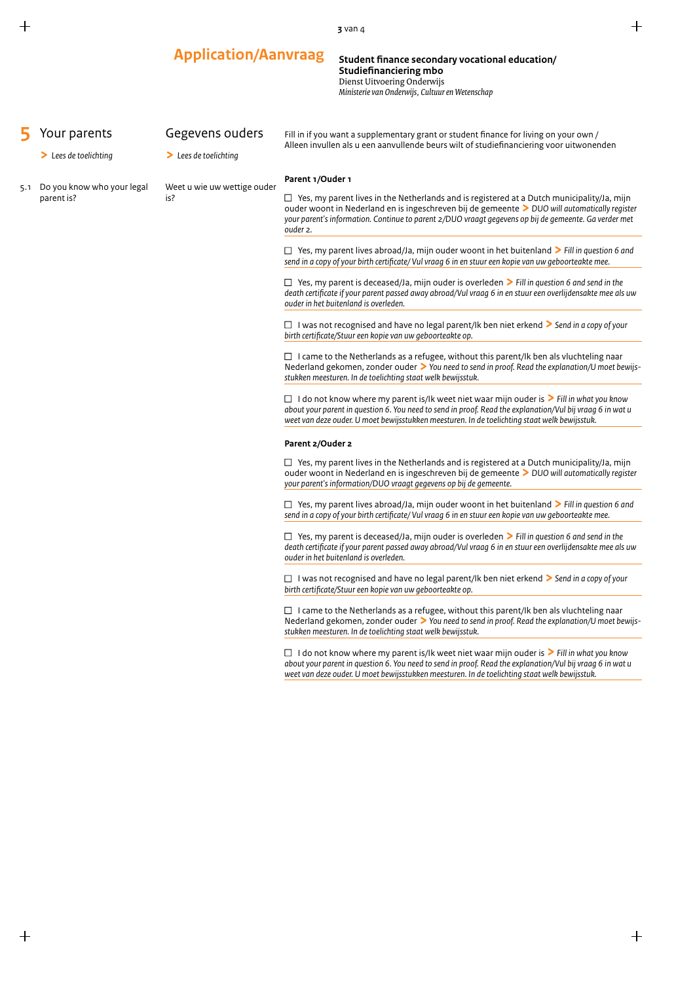|     |                                                           | <b>Application/Aanvraag</b>                                                                                                                                                                                                                                    | Student finance secondary vocational education/<br><b>Studiefinanciering mbo</b><br>Dienst Uitvoering Onderwijs<br>Ministerie van Onderwijs, Cultuur en Wetenschap |                                                                                                                                                                                                                                                                                                                                                                                                                                                                                                                                                                                                                                                                                                                                                                                                                                                                                                                                                                                                                                                                                                                                                                                                                                                                                                                                                                                                                                                                                                                                                                                                                                                                                                                                                                                                                                                                                                                                                                                                                                                                                                                                                                                                                                                                                                                                                                                                                                                                                                                                                                                                                                                                                                                          |  |  |  |
|-----|-----------------------------------------------------------|----------------------------------------------------------------------------------------------------------------------------------------------------------------------------------------------------------------------------------------------------------------|--------------------------------------------------------------------------------------------------------------------------------------------------------------------|--------------------------------------------------------------------------------------------------------------------------------------------------------------------------------------------------------------------------------------------------------------------------------------------------------------------------------------------------------------------------------------------------------------------------------------------------------------------------------------------------------------------------------------------------------------------------------------------------------------------------------------------------------------------------------------------------------------------------------------------------------------------------------------------------------------------------------------------------------------------------------------------------------------------------------------------------------------------------------------------------------------------------------------------------------------------------------------------------------------------------------------------------------------------------------------------------------------------------------------------------------------------------------------------------------------------------------------------------------------------------------------------------------------------------------------------------------------------------------------------------------------------------------------------------------------------------------------------------------------------------------------------------------------------------------------------------------------------------------------------------------------------------------------------------------------------------------------------------------------------------------------------------------------------------------------------------------------------------------------------------------------------------------------------------------------------------------------------------------------------------------------------------------------------------------------------------------------------------------------------------------------------------------------------------------------------------------------------------------------------------------------------------------------------------------------------------------------------------------------------------------------------------------------------------------------------------------------------------------------------------------------------------------------------------------------------------------------------------|--|--|--|
|     | Your parents<br>$\blacktriangleright$ Lees de toelichting | Gegevens ouders<br>$\blacktriangleright$ Lees de toelichting                                                                                                                                                                                                   |                                                                                                                                                                    | Fill in if you want a supplementary grant or student finance for living on your own /                                                                                                                                                                                                                                                                                                                                                                                                                                                                                                                                                                                                                                                                                                                                                                                                                                                                                                                                                                                                                                                                                                                                                                                                                                                                                                                                                                                                                                                                                                                                                                                                                                                                                                                                                                                                                                                                                                                                                                                                                                                                                                                                                                                                                                                                                                                                                                                                                                                                                                                                                                                                                                    |  |  |  |
| 5.1 | Do you know who your legal<br>parent is?                  | Parent 1/Ouder 1<br>Weet u wie uw wettige ouder<br>is?<br>ouder 2.<br>Parent 2/Ouder 2<br>Nederland gekomen, zonder ouder $\geq$ You need to send in proof. Read the explanation/U moet bewijs-<br>stukken meesturen. In de toelichting staat welk bewijsstuk. |                                                                                                                                                                    | Alleen invullen als u een aanvullende beurs wilt of studiefinanciering voor uitwonenden<br>$\Box$ Yes, my parent lives in the Netherlands and is registered at a Dutch municipality/Ja, mijn<br>ouder woont in Nederland en is ingeschreven bij de gemeente > DUO will automatically register<br>your parent's information. Continue to parent 2/DUO vraagt gegevens op bij de gemeente. Ga verder met<br>$\Box$ Yes, my parent lives abroad/Ja, mijn ouder woont in het buitenland > Fill in question 6 and<br>send in a copy of your birth certificate/ Vul vraag 6 in en stuur een kopie van uw geboorteakte mee.<br>$\Box$ Yes, my parent is deceased/Ja, mijn ouder is overleden $\triangleright$ Fill in question 6 and send in the<br>death certificate if your parent passed away abroad/Vul vraag 6 in en stuur een overlijdensakte mee als uw<br>ouder in het buitenland is overleden.<br>□ I was not recognised and have no legal parent/Ik ben niet erkend $\triangleright$ Send in a copy of your<br>birth certificate/Stuur een kopie van uw geboorteakte op.<br>$\Box$ I came to the Netherlands as a refugee, without this parent/lk ben als vluchteling naar<br>Nederland gekomen, zonder ouder $\geq$ You need to send in proof. Read the explanation/U moet bewijs-<br>stukken meesturen. In de toelichting staat welk bewijsstuk.<br>$\Box$ I do not know where my parent is/Ik weet niet waar mijn ouder is $\triangleright$ Fill in what you know<br>about your parent in question 6. You need to send in proof. Read the explanation/Vul bij vraag 6 in wat u<br>weet van deze ouder. U moet bewijsstukken meesturen. In de toelichting staat welk bewijsstuk.<br>$\Box$ Yes, my parent lives in the Netherlands and is registered at a Dutch municipality/Ja, mijn<br>ouder woont in Nederland en is ingeschreven bij de gemeente > DUO will automatically register<br>your parent's information/DUO vraagt gegevens op bij de gemeente.<br>$\Box$ Yes, my parent lives abroad/Ja, mijn ouder woont in het buitenland > Fill in question 6 and<br>send in a copy of your birth certificate/ Vul vraag 6 in en stuur een kopie van uw geboorteakte mee.<br>$\Box$ Yes, my parent is deceased/Ja, mijn ouder is overleden $\triangleright$ Fill in question 6 and send in the<br>death certificate if your parent passed away abroad/Vul vraag 6 in en stuur een overlijdensakte mee als uw<br>ouder in het buitenland is overleden.<br>□ I was not recognised and have no legal parent/Ik ben niet erkend > Send in a copy of your<br>birth certificate/Stuur een kopie van uw geboorteakte op.<br>$\Box$ I came to the Netherlands as a refugee, without this parent/Ik ben als vluchteling naar |  |  |  |
|     |                                                           |                                                                                                                                                                                                                                                                |                                                                                                                                                                    | $\Box$ I do not know where my parent is/Ik weet niet waar mijn ouder is $\triangleright$ Fill in what you know<br>about your parent in question 6. You need to send in proof. Read the explanation/Vul bij vraag 6 in wat u<br>weet van deze ouder. U moet bewijsstukken meesturen. In de toelichting staat welk bewijsstuk.                                                                                                                                                                                                                                                                                                                                                                                                                                                                                                                                                                                                                                                                                                                                                                                                                                                                                                                                                                                                                                                                                                                                                                                                                                                                                                                                                                                                                                                                                                                                                                                                                                                                                                                                                                                                                                                                                                                                                                                                                                                                                                                                                                                                                                                                                                                                                                                             |  |  |  |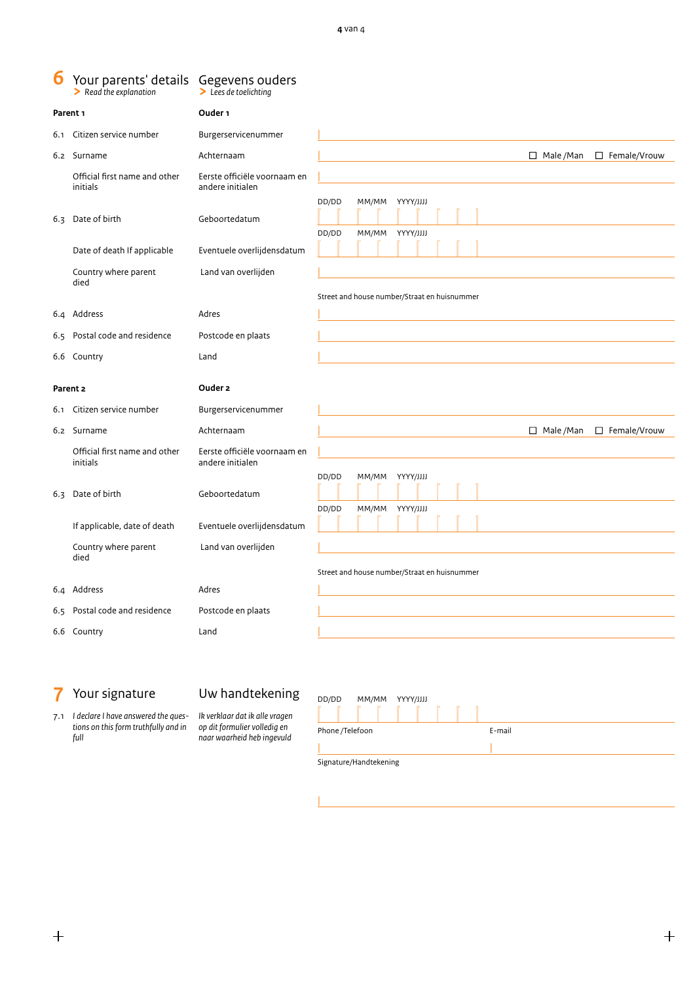|                     | Your parents' details Gegevens ouders<br>$\blacktriangleright$ Read the explanation                                                      | $\blacktriangleright$ Lees de toelichting                                                                                       |                                                                                                      |
|---------------------|------------------------------------------------------------------------------------------------------------------------------------------|---------------------------------------------------------------------------------------------------------------------------------|------------------------------------------------------------------------------------------------------|
| Parent <sub>1</sub> |                                                                                                                                          | Ouder <sub>1</sub>                                                                                                              |                                                                                                      |
|                     | 6.1 Citizen service number                                                                                                               | Burgerservicenummer                                                                                                             |                                                                                                      |
|                     | 6.2 Surname                                                                                                                              | Achternaam                                                                                                                      | $\Box$ Male /Man<br>$\Box$ Female/Vrouw                                                              |
| 6.4                 | Official first name and other<br>initials<br>6.3 Date of birth<br>Date of death If applicable<br>Country where parent<br>died<br>Address | Eerste officiële voornaam en<br>andere initialen<br>Geboortedatum<br>Eventuele overlijdensdatum<br>Land van overlijden<br>Adres | DD/DD<br>MM/MM YYYY/JJJJ<br>DD/DD<br>MM/MM YYYY/JJJJ<br>Street and house number/Straat en huisnummer |
|                     | 6.5 Postal code and residence                                                                                                            | Postcode en plaats                                                                                                              |                                                                                                      |
|                     | 6.6 Country                                                                                                                              | Land                                                                                                                            |                                                                                                      |
| 6.1                 | Parent 2<br>Citizen service number                                                                                                       | Ouder 2<br>Burgerservicenummer                                                                                                  |                                                                                                      |
|                     | 6.2 Surname                                                                                                                              | Achternaam                                                                                                                      | $\Box$ Male /Man<br>$\Box$ Female/Vrouw                                                              |
|                     |                                                                                                                                          |                                                                                                                                 |                                                                                                      |
|                     | Official first name and other<br>initials<br>6.3 Date of birth<br>If applicable, date of death<br>Country where parent<br>died           | Eerste officiële voornaam en<br>andere initialen<br>Geboortedatum<br>Eventuele overlijdensdatum<br>Land van overlijden          | DD/DD<br>MM/MM YYYY/JJJJ<br>DD/DD<br>MM/MM YYYY/JJJJ                                                 |
|                     |                                                                                                                                          |                                                                                                                                 | Street and house number/Straat en huisnummer                                                         |
|                     | 6.4 Address                                                                                                                              | Adres                                                                                                                           |                                                                                                      |
|                     | 6.5 Postal code and residence<br>6.6 Country                                                                                             | Postcode en plaats<br>Land                                                                                                      |                                                                                                      |

# **7** Your signature

# Uw handtekening

| 7.1 | I declare I have answered the aues-  |
|-----|--------------------------------------|
|     | tions on this form truthfully and in |
|     | full                                 |

*Ik verklaar dat ik alle vragen op dit formulier volledig en naar waarheid heb ingevuld*

|

| DD/DD                  | MM/MM | YYYY/JJJJ |  |  |  |  |
|------------------------|-------|-----------|--|--|--|--|
|                        |       |           |  |  |  |  |
| Phone /Telefoon        |       | E-mail    |  |  |  |  |
|                        |       |           |  |  |  |  |
| Signature/Handtekening |       |           |  |  |  |  |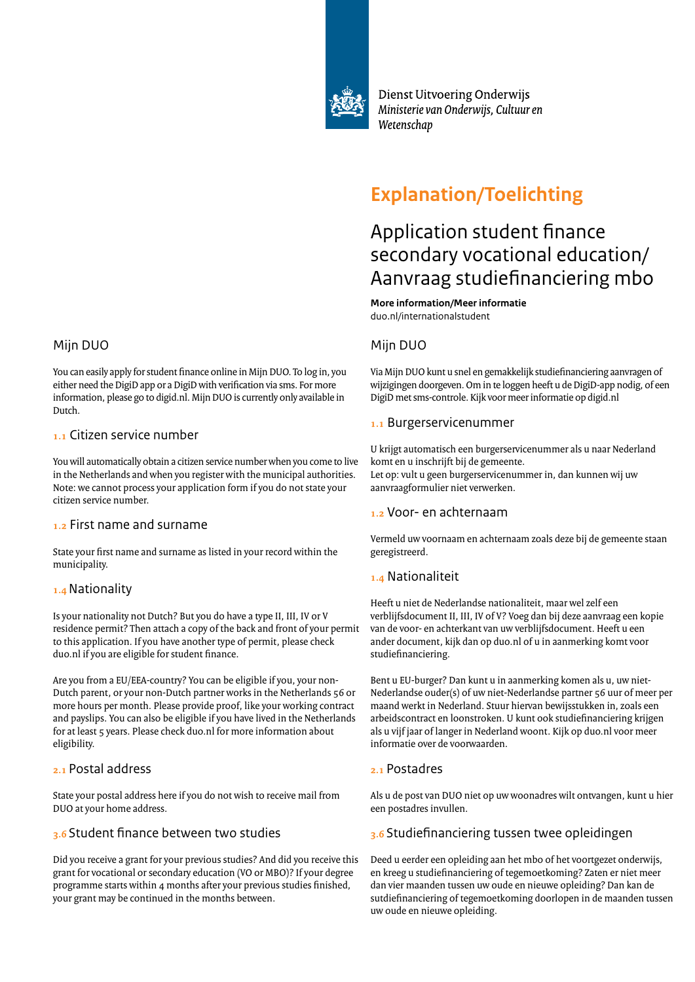

Dienst Uitvoering Onderwijs Ministerie van Onderwijs, Cultuur en Wetenschap

# **Explanation/Toelichting**

# Application student finance secondary vocational education/ Aanvraag studiefinanciering mbo

**More information/Meer informatie** duo.nl/internationalstudent

## Mijn DUO

Via Mijn DUO kunt u snel en gemakkelijk studiefinanciering aanvragen of wijzigingen doorgeven. Om in te loggen heeft u de DigiD-app nodig, of een DigiD met sms-controle. Kijk voor meer informatie op digid.nl

## **1.1** Burgerservicenummer

U krijgt automatisch een burgerservicenummer als u naar Nederland komt en u inschrijft bij de gemeente. Let op: vult u geen burgerservicenummer in, dan kunnen wij uw aanvraagformulier niet verwerken.

### **1.2** Voor- en achternaam

Vermeld uw voornaam en achternaam zoals deze bij de gemeente staan geregistreerd.

## **1.4** Nationaliteit

Heeft u niet de Nederlandse nationaliteit, maar wel zelf een verblijfsdocument II, III, IV of V? Voeg dan bij deze aanvraag een kopie van de voor- en achterkant van uw verblijfsdocument. Heeft u een ander document, kijk dan op duo.nl of u in aanmerking komt voor studiefinanciering.

Bent u EU-burger? Dan kunt u in aanmerking komen als u, uw niet-Nederlandse ouder(s) of uw niet-Nederlandse partner 56 uur of meer per maand werkt in Nederland. Stuur hiervan bewijsstukken in, zoals een arbeidscontract en loonstroken. U kunt ook studiefinanciering krijgen als u vijf jaar of langer in Nederland woont. Kijk op duo.nl voor meer informatie over de voorwaarden.

## **2.1** Postadres

Als u de post van DUO niet op uw woonadres wilt ontvangen, kunt u hier een postadres invullen.

## **3.6** Studiefinanciering tussen twee opleidingen

Deed u eerder een opleiding aan het mbo of het voortgezet onderwijs, en kreeg u studiefinanciering of tegemoetkoming? Zaten er niet meer dan vier maanden tussen uw oude en nieuwe opleiding? Dan kan de sutdiefinanciering of tegemoetkoming doorlopen in de maanden tussen uw oude en nieuwe opleiding.

# Mijn DUO

You can easily apply for student finance online in Mijn DUO. To log in, you either need the DigiD app or a DigiD with verification via sms. For more information, please go to digid.nl. Mijn DUO is currently only available in Dutch.

### **1.1** Citizen service number

You will automatically obtain a citizen service number when you come to live in the Netherlands and when you register with the municipal authorities. Note: we cannot process your application form if you do not state your citizen service number.

### **1.2** First name and surname

State your first name and surname as listed in your record within the municipality.

## **1.4** Nationality

Is your nationality not Dutch? But you do have a type II, III, IV or V residence permit? Then attach a copy of the back and front of your permit to this application. If you have another type of permit, please check duo.nl if you are eligible for student finance.

Are you from a EU/EEA-country? You can be eligible if you, your non-Dutch parent, or your non-Dutch partner works in the Netherlands 56 or more hours per month. Please provide proof, like your working contract and payslips. You can also be eligible if you have lived in the Netherlands for at least 5 years. Please check duo.nl for more information about eligibility.

## **2.1** Postal address

State your postal address here if you do not wish to receive mail from DUO at your home address.

## **3.6** Student finance between two studies

Did you receive a grant for your previous studies? And did you receive this grant for vocational or secondary education (VO or MBO)? If your degree programme starts within 4 months after your previous studies finished, your grant may be continued in the months between.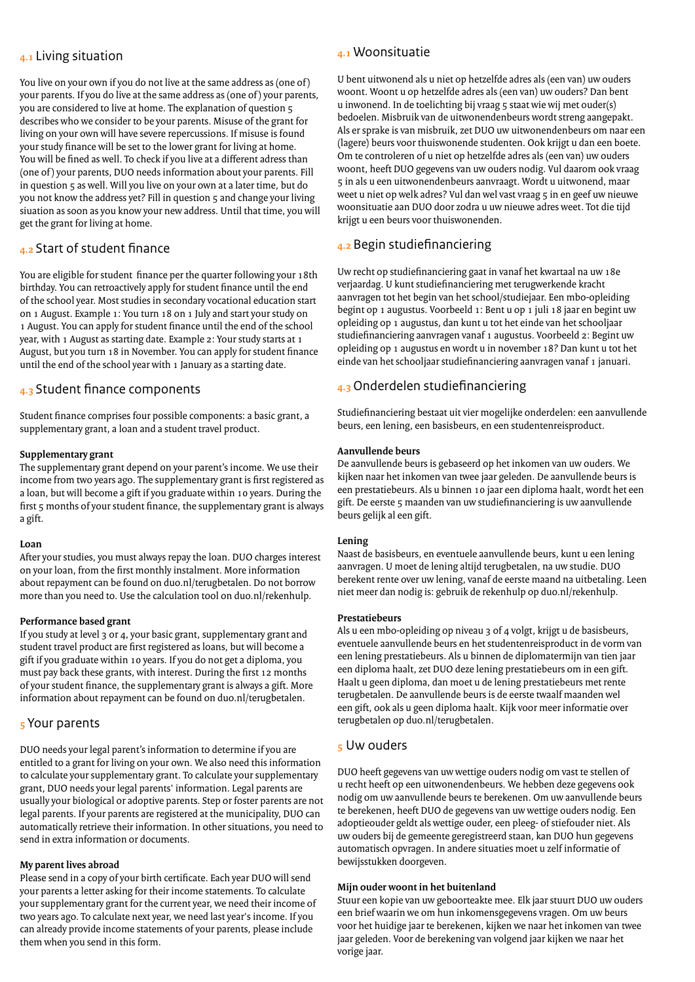### **4.1** Living situation

You live on your own if you do not live at the same address as (one of) your parents. If you do live at the same address as (one of ) your parents, you are considered to live at home. The explanation of question 5 describes who we consider to be your parents. Misuse of the grant for living on your own will have severe repercussions. If misuse is found your study finance will be set to the lower grant for living at home. You will be fined as well. To check if you live at a different adress than (one of ) your parents, DUO needs information about your parents. Fill in question 5 as well. Will you live on your own at a later time, but do you not know the address yet? Fill in question 5 and change your living siuation as soon as you know your new address. Until that time, you will get the grant for living at home.

## **4.2** Start of student finance

You are eligible for student finance per the quarter following your 18th birthday. You can retroactively apply for student finance until the end of the school year. Most studies in secondary vocational education start on 1 August. Example 1: You turn 18 on 1 July and start your study on 1 August. You can apply for student finance until the end of the school year, with 1 August as starting date. Example 2: Your study starts at 1 August, but you turn 18 in November. You can apply for student finance until the end of the school year with 1 January as a starting date.

## **4.3** Student finance components

Student finance comprises four possible components: a basic grant, a supplementary grant, a loan and a student travel product.

#### **Supplementary grant**

The supplementary grant depend on your parent's income. We use their income from two years ago. The supplementary grant is first registered as a loan, but will become a gift if you graduate within 10 years. During the first 5 months of your student finance, the supplementary grant is always a gift.

#### **Loan**

After your studies, you must always repay the loan. DUO charges interest on your loan, from the first monthly instalment. More information about repayment can be found on duo.nl/terugbetalen. Do not borrow more than you need to. Use the calculation tool on duo.nl/rekenhulp.

#### **Performance based grant**

If you study at level 3 or 4, your basic grant, supplementary grant and student travel product are first registered as loans, but will become a gift if you graduate within 10 years. If you do not get a diploma, you must pay back these grants, with interest. During the first 12 months of your student finance, the supplementary grant is always a gift. More information about repayment can be found on duo.nl/terugbetalen.

### **5** Your parents

DUO needs your legal parent's information to determine if you are entitled to a grant for living on your own. We also need this information to calculate your supplementary grant. To calculate your supplementary grant, DUO needs your legal parents' information. Legal parents are usually your biological or adoptive parents. Step or foster parents are not legal parents. If your parents are registered at the municipality, DUO can automatically retrieve their information. In other situations, you need to send in extra information or documents.

#### **My parent lives abroad**

Please send in a copy of your birth certificate. Each year DUO will send your parents a letter asking for their income statements. To calculate your supplementary grant for the current year, we need their income of two years ago. To calculate next year, we need last year's income. If you can already provide income statements of your parents, please include them when you send in this form.

## **4.1** Woonsituatie

U bent uitwonend als u niet op hetzelfde adres als (een van) uw ouders woont. Woont u op hetzelfde adres als (een van) uw ouders? Dan bent u inwonend. In de toelichting bij vraag 5 staat wie wij met ouder(s) bedoelen. Misbruik van de uitwonendenbeurs wordt streng aangepakt. Als er sprake is van misbruik, zet DUO uw uitwonendenbeurs om naar een (lagere) beurs voor thuiswonende studenten. Ook krijgt u dan een boete. Om te controleren of u niet op hetzelfde adres als (een van) uw ouders woont, heeft DUO gegevens van uw ouders nodig. Vul daarom ook vraag 5 in als u een uitwonendenbeurs aanvraagt. Wordt u uitwonend, maar weet u niet op welk adres? Vul dan wel vast vraag 5 in en geef uw nieuwe woonsituatie aan DUO door zodra u uw nieuwe adres weet. Tot die tijd krijgt u een beurs voor thuiswonenden.

## **4.2** Begin studiefinanciering

Uw recht op studiefinanciering gaat in vanaf het kwartaal na uw 18e verjaardag. U kunt studiefinanciering met terugwerkende kracht aanvragen tot het begin van het school/studiejaar. Een mbo-opleiding begint op 1 augustus. Voorbeeld 1: Bent u op 1 juli 18 jaar en begint uw opleiding op 1 augustus, dan kunt u tot het einde van het schooljaar studiefinanciering aanvragen vanaf 1 augustus. Voorbeeld 2: Begint uw opleiding op 1 augustus en wordt u in november 18? Dan kunt u tot het einde van het schooljaar studiefinanciering aanvragen vanaf 1 januari.

## **4.3** Onderdelen studiefinanciering

Studiefinanciering bestaat uit vier mogelijke onderdelen: een aanvullende beurs, een lening, een basisbeurs, en een studentenreisproduct.

#### **Aanvullende beurs**

De aanvullende beurs is gebaseerd op het inkomen van uw ouders. We kijken naar het inkomen van twee jaar geleden. De aanvullende beurs is een prestatiebeurs. Als u binnen 10 jaar een diploma haalt, wordt het een gift. De eerste 5 maanden van uw studiefinanciering is uw aanvullende beurs gelijk al een gift.

#### **Lening**

Naast de basisbeurs, en eventuele aanvullende beurs, kunt u een lening aanvragen. U moet de lening altijd terugbetalen, na uw studie. DUO berekent rente over uw lening, vanaf de eerste maand na uitbetaling. Leen niet meer dan nodig is: gebruik de rekenhulp op duo.nl/rekenhulp.

#### **Prestatiebeurs**

Als u een mbo-opleiding op niveau 3 of 4 volgt, krijgt u de basisbeurs, eventuele aanvullende beurs en het studentenreisproduct in de vorm van een lening prestatiebeurs. Als u binnen de diplomatermijn van tien jaar een diploma haalt, zet DUO deze lening prestatiebeurs om in een gift. Haalt u geen diploma, dan moet u de lening prestatiebeurs met rente terugbetalen. De aanvullende beurs is de eerste twaalf maanden wel een gift, ook als u geen diploma haalt. Kijk voor meer informatie over terugbetalen op duo.nl/terugbetalen.

### **5** Uw ouders

DUO heeft gegevens van uw wettige ouders nodig om vast te stellen of u recht heeft op een uitwonendenbeurs. We hebben deze gegevens ook nodig om uw aanvullende beurs te berekenen. Om uw aanvullende beurs te berekenen, heeft DUO de gegevens van uw wettige ouders nodig. Een adoptieouder geldt als wettige ouder, een pleeg- of stiefouder niet. Als uw ouders bij de gemeente geregistreerd staan, kan DUO hun gegevens automatisch opvragen. In andere situaties moet u zelf informatie of bewijsstukken doorgeven.

#### **Mijn ouder woont in het buitenland**

Stuur een kopie van uw geboorteakte mee. Elk jaar stuurt DUO uw ouders een brief waarin we om hun inkomensgegevens vragen. Om uw beurs voor het huidige jaar te berekenen, kijken we naar het inkomen van twee jaar geleden. Voor de berekening van volgend jaar kijken we naar het vorige jaar.